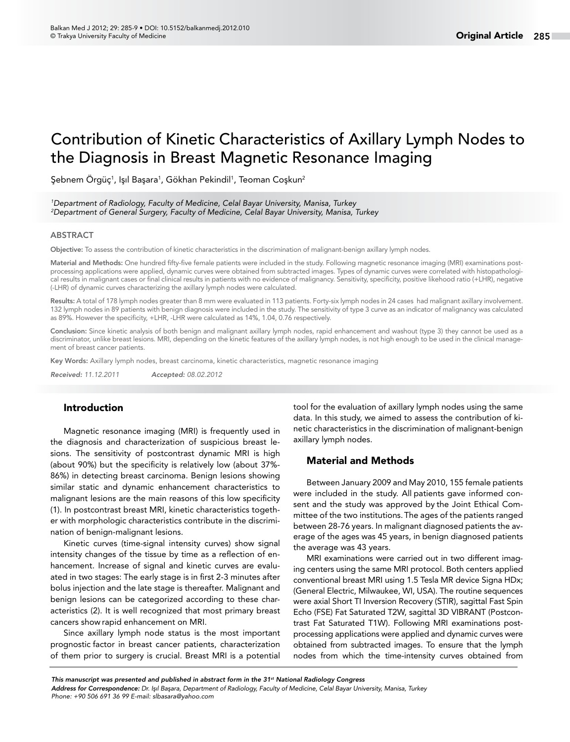# Contribution of Kinetic Characteristics of Axillary Lymph Nodes to the Diagnosis in Breast Magnetic Resonance Imaging

Şebnem Örgüç<sup>1</sup>, Işıl Başara<sup>1</sup>, Gökhan Pekindil<sup>1</sup>, Teoman Coşkun<sup>2</sup>

*1 Department of Radiology, Faculty of Medicine, Celal Bayar University, Manisa, Turkey 2 Department of General Surgery, Faculty of Medicine, Celal Bayar University, Manisa, Turkey*

#### ABSTRACT

Objective: To assess the contribution of kinetic characteristics in the discrimination of malignant-benign axillary lymph nodes.

Material and Methods: One hundred fifty-five female patients were included in the study. Following magnetic resonance imaging (MRI) examinations postprocessing applications were applied, dynamic curves were obtained from subtracted images. Types of dynamic curves were correlated with histopathological results in malignant cases or final clinical results in patients with no evidence of malignancy. Sensitivity, specificity, positive likehood ratio (+LHR), negative (-LHR) of dynamic curves characterizing the axillary lymph nodes were calculated.

Results: A total of 178 lymph nodes greater than 8 mm were evaluated in 113 patients. Forty-six lymph nodes in 24 cases had malignant axillary involvement. 132 lymph nodes in 89 patients with benign diagnosis were included in the study. The sensitivity of type 3 curve as an indicator of malignancy was calculated as 89%. However the specificity, +LHR, -LHR were calculated as 14%, 1.04, 0.76 respectively.

Conclusion: Since kinetic analysis of both benign and malignant axillary lymph nodes, rapid enhancement and washout (type 3) they cannot be used as a discriminator, unlike breast lesions. MRI, depending on the kinetic features of the axillary lymph nodes, is not high enough to be used in the clinical management of breast cancer patients.

Key Words: Axillary lymph nodes, breast carcinoma, kinetic characteristics, magnetic resonance imaging

*Received: 11.12.2011 Accepted: 08.02.2012*

## Introduction

Magnetic resonance imaging (MRI) is frequently used in the diagnosis and characterization of suspicious breast lesions. The sensitivity of postcontrast dynamic MRI is high (about 90%) but the specificity is relatively low (about 37%- 86%) in detecting breast carcinoma. Benign lesions showing similar static and dynamic enhancement characteristics to malignant lesions are the main reasons of this low specificity (1). In postcontrast breast MRI, kinetic characteristics together with morphologic characteristics contribute in the discrimination of benign-malignant lesions.

Kinetic curves (time-signal intensity curves) show signal intensity changes of the tissue by time as a reflection of enhancement. Increase of signal and kinetic curves are evaluated in two stages: The early stage is in first 2-3 minutes after bolus injection and the late stage is thereafter. Malignant and benign lesions can be categorized according to these characteristics (2). It is well recognized that most primary breast cancers show rapid enhancement on MRI.

Since axillary lymph node status is the most important prognostic factor in breast cancer patients, characterization of them prior to surgery is crucial. Breast MRI is a potential tool for the evaluation of axillary lymph nodes using the same data. In this study, we aimed to assess the contribution of kinetic characteristics in the discrimination of malignant-benign axillary lymph nodes.

#### Material and Methods

Between January 2009 and May 2010, 155 female patients were included in the study. All patients gave informed consent and the study was approved by the Joint Ethical Committee of the two institutions.The ages of the patients ranged between 28-76 years. In malignant diagnosed patients the average of the ages was 45 years, in benign diagnosed patients the average was 43 years.

MRI examinations were carried out in two different imaging centers using the same MRI protocol. Both centers applied conventional breast MRI using 1.5 Tesla MR device Signa HDx; (General Electric, Milwaukee, WI, USA). The routine sequences were axial Short TI Inversion Recovery (STIR), sagittal Fast Spin Echo (FSE) Fat Saturated T2W, sagittal 3D VIBRANT (Postcontrast Fat Saturated T1W). Following MRI examinations postprocessing applications were applied and dynamic curves were obtained from subtracted images. To ensure that the lymph nodes from which the time-intensity curves obtained from

*Address for Correspondence: Dr. Işıl Başara, Department of Radiology, Faculty of Medicine, Celal Bayar University, Manisa, Turkey Phone: +90 506 691 36 99 E-mail: slbasara@yahoo.com This manuscript was presented and published in abstract form in the 31st National Radiology Congress*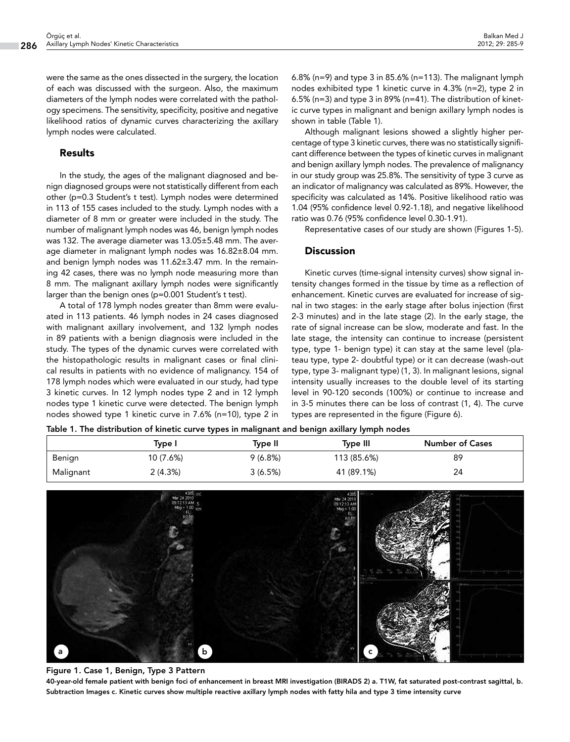were the same as the ones dissected in the surgery, the location of each was discussed with the surgeon. Also, the maximum diameters of the lymph nodes were correlated with the pathology specimens. The sensitivity, specificity, positive and negative likelihood ratios of dynamic curves characterizing the axillary lymph nodes were calculated.

## Results

In the study, the ages of the malignant diagnosed and benign diagnosed groups were not statistically different from each other (p=0.3 Student's t test). Lymph nodes were determined in 113 of 155 cases included to the study. Lymph nodes with a diameter of 8 mm or greater were included in the study. The number of malignant lymph nodes was 46, benign lymph nodes was 132. The average diameter was 13.05±5.48 mm. The average diameter in malignant lymph nodes was 16.82±8.04 mm. and benign lymph nodes was 11.62±3.47 mm. In the remaining 42 cases, there was no lymph node measuring more than 8 mm. The malignant axillary lymph nodes were significantly larger than the benign ones (p=0.001 Student's t test).

A total of 178 lymph nodes greater than 8mm were evaluated in 113 patients. 46 lymph nodes in 24 cases diagnosed with malignant axillary involvement, and 132 lymph nodes in 89 patients with a benign diagnosis were included in the study. The types of the dynamic curves were correlated with the histopathologic results in malignant cases or final clinical results in patients with no evidence of malignancy. 154 of 178 lymph nodes which were evaluated in our study, had type 3 kinetic curves. In 12 lymph nodes type 2 and in 12 lymph nodes type 1 kinetic curve were detected. The benign lymph nodes showed type 1 kinetic curve in 7.6% (n=10), type 2 in

6.8% (n=9) and type 3 in 85.6% (n=113). The malignant lymph nodes exhibited type 1 kinetic curve in 4.3% (n=2), type 2 in 6.5% (n=3) and type 3 in 89% (n=41). The distribution of kinetic curve types in malignant and benign axillary lymph nodes is shown in table (Table 1).

Although malignant lesions showed a slightly higher percentage of type 3 kinetic curves, there was no statistically significant difference between the types of kinetic curves in malignant and benign axillary lymph nodes. The prevalence of malignancy in our study group was 25.8%. The sensitivity of type 3 curve as an indicator of malignancy was calculated as 89%. However, the specificity was calculated as 14%. Positive likelihood ratio was 1.04 (95% confidence level 0.92-1.18), and negative likelihood ratio was 0.76 (95% confidence level 0.30-1.91).

Representative cases of our study are shown (Figures 1-5).

## **Discussion**

Kinetic curves (time-signal intensity curves) show signal intensity changes formed in the tissue by time as a reflection of enhancement. Kinetic curves are evaluated for increase of signal in two stages: in the early stage after bolus injection (first 2-3 minutes) and in the late stage (2). In the early stage, the rate of signal increase can be slow, moderate and fast. In the late stage, the intensity can continue to increase (persistent type, type 1- benign type) it can stay at the same level (plateau type, type 2- doubtful type) or it can decrease (wash-out type, type 3- malignant type) (1, 3). In malignant lesions, signal intensity usually increases to the double level of its starting level in 90-120 seconds (100%) or continue to increase and in 3-5 minutes there can be loss of contrast (1, 4). The curve types are represented in the figure (Figure 6).

Table 1. The distribution of kinetic curve types in malignant and benign axillary lymph nodes

|           |           | --      |             |                        |
|-----------|-----------|---------|-------------|------------------------|
|           | Type I    | Tvpe II | Type III    | <b>Number of Cases</b> |
| Benign    | 10 (7.6%) | 9(6.8%) | 113 (85.6%) | 89                     |
| Malignant | 2(4.3%)   | 3(6.5%) | 41 (89.1%)  | 24                     |



#### Figure 1. Case 1, Benign, Type 3 Pattern

40-year-old female patient with benign foci of enhancement in breast MRI investigation (BIRADS 2) a. T1W, fat saturated post-contrast sagittal, b. Subtraction Images c. Kinetic curves show multiple reactive axillary lymph nodes with fatty hila and type 3 time intensity curve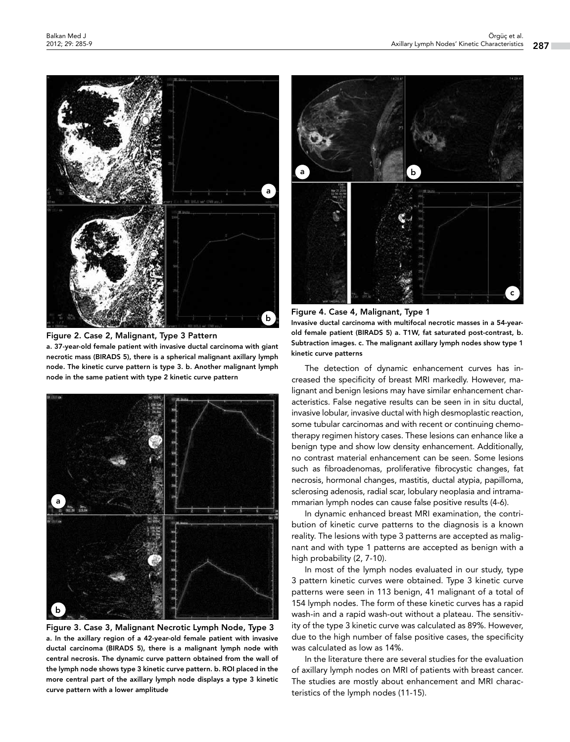

Figure 2. Case 2, Malignant, Type 3 Pattern a. 37-year-old female patient with invasive ductal carcinoma with giant necrotic mass (BIRADS 5), there is a spherical malignant axillary lymph node. The kinetic curve pattern is type 3. b. Another malignant lymph node in the same patient with type 2 kinetic curve pattern



Figure 3. Case 3, Malignant Necrotic Lymph Node, Type 3 a. In the axillary region of a 42-year-old female patient with invasive ductal carcinoma (BIRADS 5), there is a malignant lymph node with central necrosis. The dynamic curve pattern obtained from the wall of the lymph node shows type 3 kinetic curve pattern. b. ROI placed in the more central part of the axillary lymph node displays a type 3 kinetic curve pattern with a lower amplitude



Figure 4. Case 4, Malignant, Type 1 Invasive ductal carcinoma with multifocal necrotic masses in a 54-yearold female patient (BIRADS 5) a. T1W, fat saturated post-contrast, b. Subtraction images. c. The malignant axillary lymph nodes show type 1 kinetic curve patterns

The detection of dynamic enhancement curves has increased the specificity of breast MRI markedly. However, malignant and benign lesions may have similar enhancement characteristics. False negative results can be seen in in situ ductal, invasive lobular, invasive ductal with high desmoplastic reaction, some tubular carcinomas and with recent or continuing chemotherapy regimen history cases. These lesions can enhance like a benign type and show low density enhancement. Additionally, no contrast material enhancement can be seen. Some lesions such as fibroadenomas, proliferative fibrocystic changes, fat necrosis, hormonal changes, mastitis, ductal atypia, papilloma, sclerosing adenosis, radial scar, lobulary neoplasia and intramammarian lymph nodes can cause false positive results (4-6).

In dynamic enhanced breast MRI examination, the contribution of kinetic curve patterns to the diagnosis is a known reality. The lesions with type 3 patterns are accepted as malignant and with type 1 patterns are accepted as benign with a high probability (2, 7-10).

In most of the lymph nodes evaluated in our study, type 3 pattern kinetic curves were obtained. Type 3 kinetic curve patterns were seen in 113 benign, 41 malignant of a total of 154 lymph nodes. The form of these kinetic curves has a rapid wash-in and a rapid wash-out without a plateau. The sensitivity of the type 3 kinetic curve was calculated as 89%. However, due to the high number of false positive cases, the specificity was calculated as low as 14%.

In the literature there are several studies for the evaluation of axillary lymph nodes on MRI of patients with breast cancer. The studies are mostly about enhancement and MRI characteristics of the lymph nodes (11-15).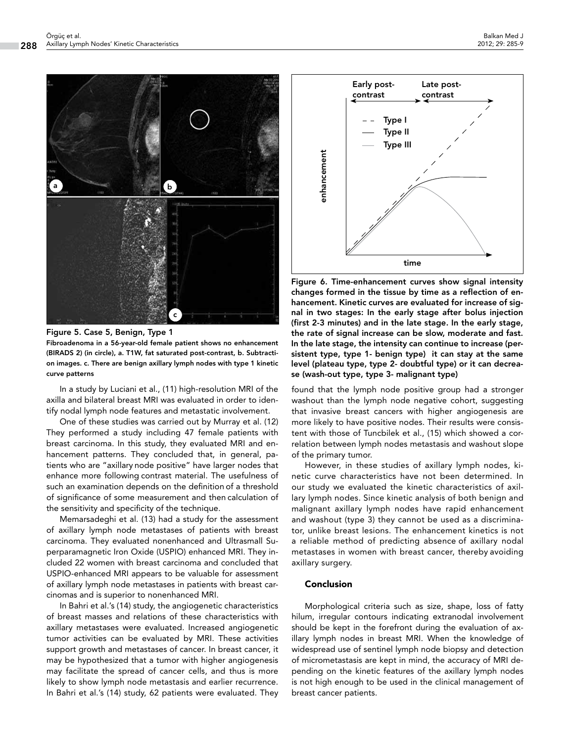

### Figure 5. Case 5, Benign, Type 1

Fibroadenoma in a 56-year-old female patient shows no enhancement (BIRADS 2) (in circle), a. T1W, fat saturated post-contrast, b. Subtraction images. c. There are benign axillary lymph nodes with type 1 kinetic curve patterns

In a study by Luciani et al., (11) high-resolution MRI of the axilla and bilateral breast MRI was evaluated in order to identify nodal lymph node features and metastatic involvement.

One of these studies was carried out by Murray et al. (12) They performed a study including 47 female patients with breast carcinoma. In this study, they evaluated MRI and enhancement patterns. They concluded that, in general, patients who are "axillary node positive" have larger nodes that enhance more following contrast material. The usefulness of such an examination depends on the definition of a threshold of significance of some measurement and then calculation of the sensitivity and specificity of the technique.

Memarsadeghi et al. (13) had a study for the assessment of axillary lymph node metastases of patients with breast carcinoma. They evaluated nonenhanced and Ultrasmall Superparamagnetic Iron Oxide (USPIO) enhanced MRI. They included 22 women with breast carcinoma and concluded that USPIO-enhanced MRI appears to be valuable for assessment of axillary lymph node metastases in patients with breast carcinomas and is superior to nonenhanced MRI.

In Bahri et al.'s (14) study, the angiogenetic characteristics of breast masses and relations of these characteristics with axillary metastases were evaluated. Increased angiogenetic tumor activities can be evaluated by MRI. These activities support growth and metastases of cancer. In breast cancer, it may be hypothesized that a tumor with higher angiogenesis may facilitate the spread of cancer cells, and thus is more likely to show lymph node metastasis and earlier recurrence. In Bahri et al.'s (14) study, 62 patients were evaluated. They



Figure 6. Time-enhancement curves show signal intensity changes formed in the tissue by time as a reflection of enhancement. Kinetic curves are evaluated for increase of signal in two stages: In the early stage after bolus injection (first 2-3 minutes) and in the late stage. In the early stage, the rate of signal increase can be slow, moderate and fast. In the late stage, the intensity can continue to increase (persistent type, type 1- benign type) it can stay at the same level (plateau type, type 2- doubtful type) or it can decrease (wash-out type, type 3- malignant type)

found that the lymph node positive group had a stronger washout than the lymph node negative cohort, suggesting that invasive breast cancers with higher angiogenesis are more likely to have positive nodes. Their results were consistent with those of Tuncbilek et al., (15) which showed a correlation between lymph nodes metastasis and washout slope of the primary tumor.

However, in these studies of axillary lymph nodes, kinetic curve characteristics have not been determined. In our study we evaluated the kinetic characteristics of axillary lymph nodes. Since kinetic analysis of both benign and malignant axillary lymph nodes have rapid enhancement and washout (type 3) they cannot be used as a discriminator, unlike breast lesions. The enhancement kinetics is not a reliable method of predicting absence of axillary nodal metastases in women with breast cancer, thereby avoiding axillary surgery.

#### Conclusion

Morphological criteria such as size, shape, loss of fatty hilum, irregular contours indicating extranodal involvement should be kept in the forefront during the evaluation of axillary lymph nodes in breast MRI. When the knowledge of widespread use of sentinel lymph node biopsy and detection of micrometastasis are kept in mind, the accuracy of MRI depending on the kinetic features of the axillary lymph nodes is not high enough to be used in the clinical management of breast cancer patients.